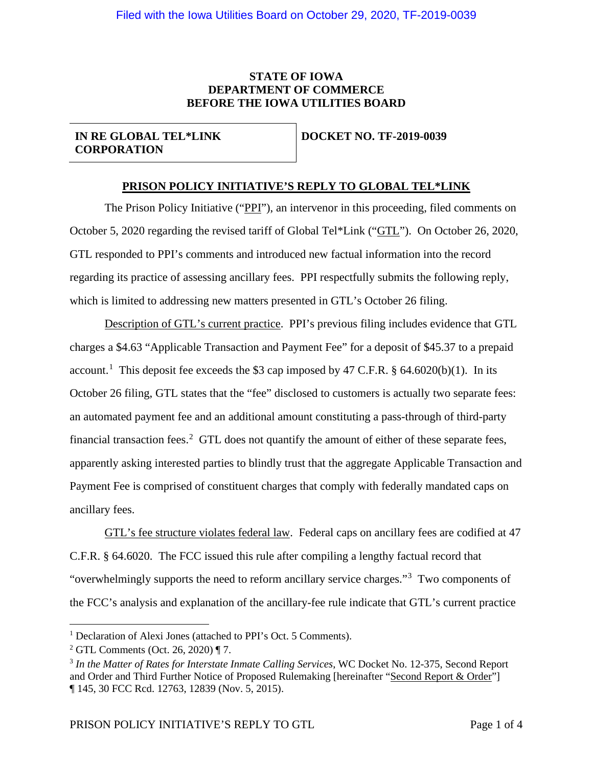# **STATE OF IOWA DEPARTMENT OF COMMERCE BEFORE THE IOWA UTILITIES BOARD**

# **IN RE GLOBAL TEL\*LINK CORPORATION**

#### **DOCKET NO. TF-2019-0039**

# **PRISON POLICY INITIATIVE'S REPLY TO GLOBAL TEL\*LINK**

The Prison Policy Initiative ("PPI"), an intervenor in this proceeding, filed comments on October 5, 2020 regarding the revised tariff of Global Tel\*Link ("GTL"). On October 26, 2020, GTL responded to PPI's comments and introduced new factual information into the record regarding its practice of assessing ancillary fees. PPI respectfully submits the following reply, which is limited to addressing new matters presented in GTL's October 26 filing.

Description of GTL's current practice. PPI's previous filing includes evidence that GTL charges a \$4.63 "Applicable Transaction and Payment Fee" for a deposit of \$45.37 to a prepaid account.<sup>[1](#page-0-0)</sup> This deposit fee exceeds the \$3 cap imposed by 47 C.F.R. § 64.6020(b)(1). In its October 26 filing, GTL states that the "fee" disclosed to customers is actually two separate fees: an automated payment fee and an additional amount constituting a pass-through of third-party financial transaction fees.<sup>[2](#page-0-1)</sup> GTL does not quantify the amount of either of these separate fees, apparently asking interested parties to blindly trust that the aggregate Applicable Transaction and Payment Fee is comprised of constituent charges that comply with federally mandated caps on ancillary fees.

GTL's fee structure violates federal law. Federal caps on ancillary fees are codified at 47 C.F.R. § 64.6020. The FCC issued this rule after compiling a lengthy factual record that "overwhelmingly supports the need to reform ancillary service charges."<sup>[3](#page-0-2)</sup> Two components of the FCC's analysis and explanation of the ancillary-fee rule indicate that GTL's current practice

<span id="page-0-0"></span><sup>&</sup>lt;sup>1</sup> Declaration of Alexi Jones (attached to PPI's Oct. 5 Comments).

<span id="page-0-1"></span><sup>2</sup> GTL Comments (Oct. 26, 2020) ¶ 7.

<span id="page-0-2"></span><sup>3</sup> *In the Matter of Rates for Interstate Inmate Calling Services*, WC Docket No. 12-375, Second Report and Order and Third Further Notice of Proposed Rulemaking [hereinafter "Second Report & Order"] ¶ 145, 30 FCC Rcd. 12763, 12839 (Nov. 5, 2015).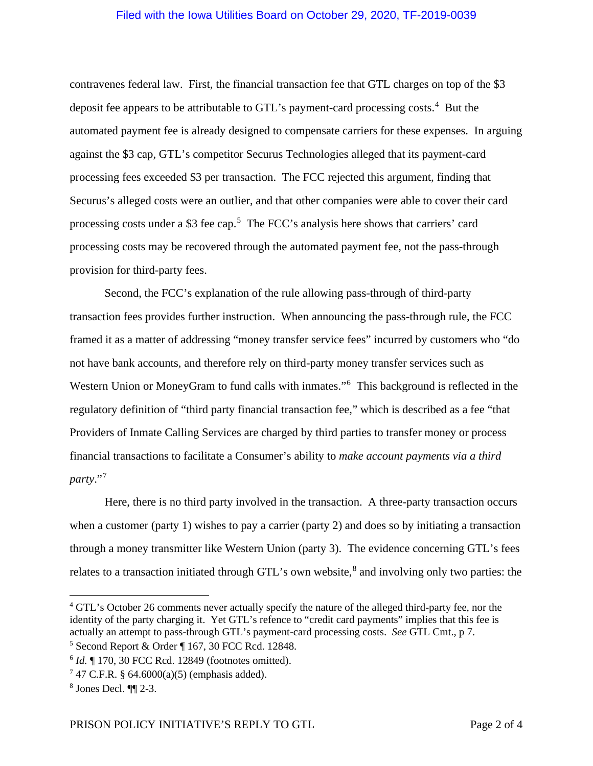# Filed with the Iowa Utilities Board on October 29, 2020, TF-2019-0039

contravenes federal law. First, the financial transaction fee that GTL charges on top of the \$3 deposit fee appears to be attributable to GTL's payment-card processing costs.<sup>[4](#page-1-0)</sup> But the automated payment fee is already designed to compensate carriers for these expenses. In arguing against the \$3 cap, GTL's competitor Securus Technologies alleged that its payment-card processing fees exceeded \$3 per transaction. The FCC rejected this argument, finding that Securus's alleged costs were an outlier, and that other companies were able to cover their card processing costs under a \$3 fee cap.<sup>[5](#page-1-1)</sup> The FCC's analysis here shows that carriers' card processing costs may be recovered through the automated payment fee, not the pass-through provision for third-party fees.

Second, the FCC's explanation of the rule allowing pass-through of third-party transaction fees provides further instruction. When announcing the pass-through rule, the FCC framed it as a matter of addressing "money transfer service fees" incurred by customers who "do not have bank accounts, and therefore rely on third-party money transfer services such as Western Union or MoneyGram to fund calls with inmates."<sup>[6](#page-1-2)</sup> This background is reflected in the regulatory definition of "third party financial transaction fee," which is described as a fee "that Providers of Inmate Calling Services are charged by third parties to transfer money or process financial transactions to facilitate a Consumer's ability to *make account payments via a third party*."[7](#page-1-3)

Here, there is no third party involved in the transaction. A three-party transaction occurs when a customer (party 1) wishes to pay a carrier (party 2) and does so by initiating a transaction through a money transmitter like Western Union (party 3). The evidence concerning GTL's fees relates to a transaction initiated through GTL's own website, $\delta$  and involving only two parties: the

<span id="page-1-0"></span><sup>4</sup> GTL's October 26 comments never actually specify the nature of the alleged third-party fee, nor the identity of the party charging it. Yet GTL's refence to "credit card payments" implies that this fee is actually an attempt to pass-through GTL's payment-card processing costs. *See* GTL Cmt., p 7.

<span id="page-1-1"></span><sup>5</sup> Second Report & Order ¶ 167, 30 FCC Rcd. 12848.

<span id="page-1-2"></span><sup>6</sup> *Id.* ¶ 170, 30 FCC Rcd. 12849 (footnotes omitted).

<span id="page-1-3"></span> $747$  C.F.R. § 64.6000(a)(5) (emphasis added).

<span id="page-1-4"></span><sup>8</sup> Jones Decl. ¶¶ 2-3.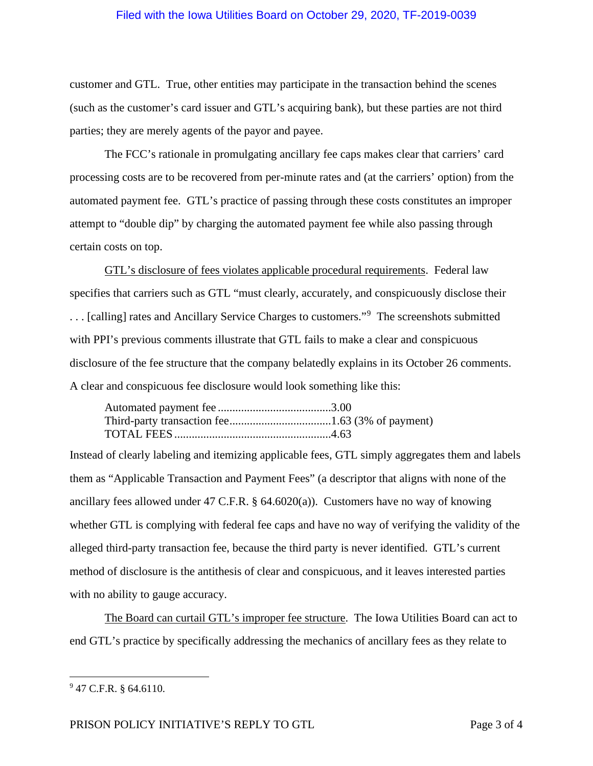# Filed with the Iowa Utilities Board on October 29, 2020, TF-2019-0039

customer and GTL. True, other entities may participate in the transaction behind the scenes (such as the customer's card issuer and GTL's acquiring bank), but these parties are not third parties; they are merely agents of the payor and payee.

The FCC's rationale in promulgating ancillary fee caps makes clear that carriers' card processing costs are to be recovered from per-minute rates and (at the carriers' option) from the automated payment fee. GTL's practice of passing through these costs constitutes an improper attempt to "double dip" by charging the automated payment fee while also passing through certain costs on top.

GTL's disclosure of fees violates applicable procedural requirements. Federal law specifies that carriers such as GTL "must clearly, accurately, and conspicuously disclose their ... [calling] rates and Ancillary Service Charges to customers."<sup>[9](#page-2-0)</sup> The screenshots submitted with PPI's previous comments illustrate that GTL fails to make a clear and conspicuous disclosure of the fee structure that the company belatedly explains in its October 26 comments. A clear and conspicuous fee disclosure would look something like this:

Instead of clearly labeling and itemizing applicable fees, GTL simply aggregates them and labels them as "Applicable Transaction and Payment Fees" (a descriptor that aligns with none of the ancillary fees allowed under 47 C.F.R. § 64.6020(a)). Customers have no way of knowing whether GTL is complying with federal fee caps and have no way of verifying the validity of the alleged third-party transaction fee, because the third party is never identified. GTL's current method of disclosure is the antithesis of clear and conspicuous, and it leaves interested parties with no ability to gauge accuracy.

The Board can curtail GTL's improper fee structure. The Iowa Utilities Board can act to end GTL's practice by specifically addressing the mechanics of ancillary fees as they relate to

PRISON POLICY INITIATIVE'S REPLY TO GTL<br>
Page 3 of 4

<span id="page-2-0"></span><sup>9</sup> 47 C.F.R. § 64.6110.